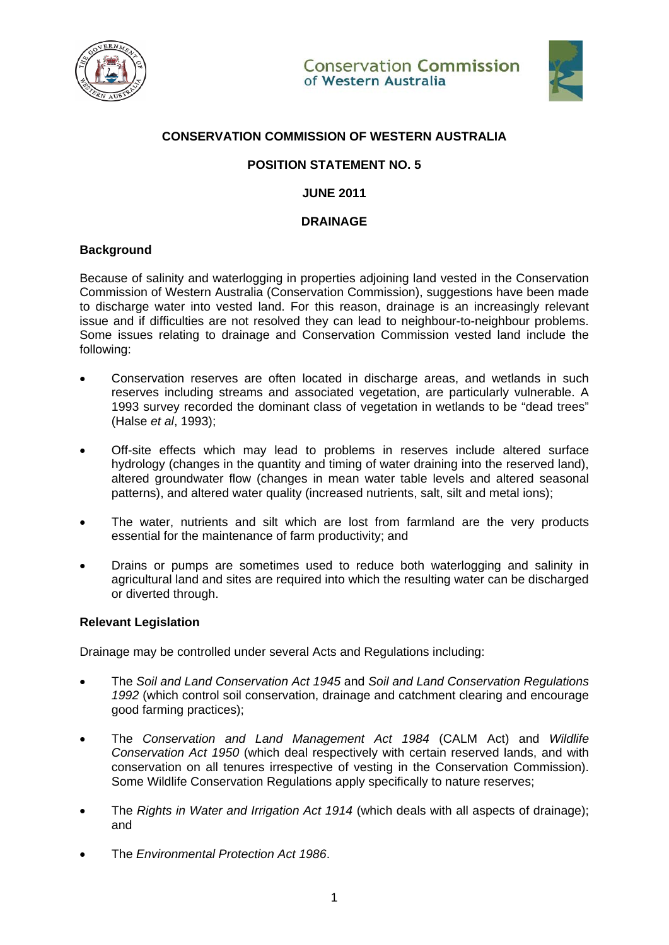



# **CONSERVATION COMMISSION OF WESTERN AUSTRALIA**

# **POSITION STATEMENT NO. 5**

### **JUNE 2011**

### **DRAINAGE**

# **Background**

Because of salinity and waterlogging in properties adjoining land vested in the Conservation Commission of Western Australia (Conservation Commission), suggestions have been made to discharge water into vested land. For this reason, drainage is an increasingly relevant issue and if difficulties are not resolved they can lead to neighbour-to-neighbour problems. Some issues relating to drainage and Conservation Commission vested land include the following:

- Conservation reserves are often located in discharge areas, and wetlands in such reserves including streams and associated vegetation, are particularly vulnerable. A 1993 survey recorded the dominant class of vegetation in wetlands to be "dead trees" (Halse *et al*, 1993);
- Off-site effects which may lead to problems in reserves include altered surface hydrology (changes in the quantity and timing of water draining into the reserved land), altered groundwater flow (changes in mean water table levels and altered seasonal patterns), and altered water quality (increased nutrients, salt, silt and metal ions);
- The water, nutrients and silt which are lost from farmland are the very products essential for the maintenance of farm productivity; and
- Drains or pumps are sometimes used to reduce both waterlogging and salinity in agricultural land and sites are required into which the resulting water can be discharged or diverted through.

## **Relevant Legislation**

Drainage may be controlled under several Acts and Regulations including:

- The *Soil and Land Conservation Act 1945* and *Soil and Land Conservation Regulations 1992* (which control soil conservation, drainage and catchment clearing and encourage good farming practices);
- The *Conservation and Land Management Act 1984* (CALM Act) and *Wildlife Conservation Act 1950* (which deal respectively with certain reserved lands, and with conservation on all tenures irrespective of vesting in the Conservation Commission). Some Wildlife Conservation Regulations apply specifically to nature reserves;
- The *Rights in Water and Irrigation Act 1914* (which deals with all aspects of drainage); and
- The *Environmental Protection Act 1986*.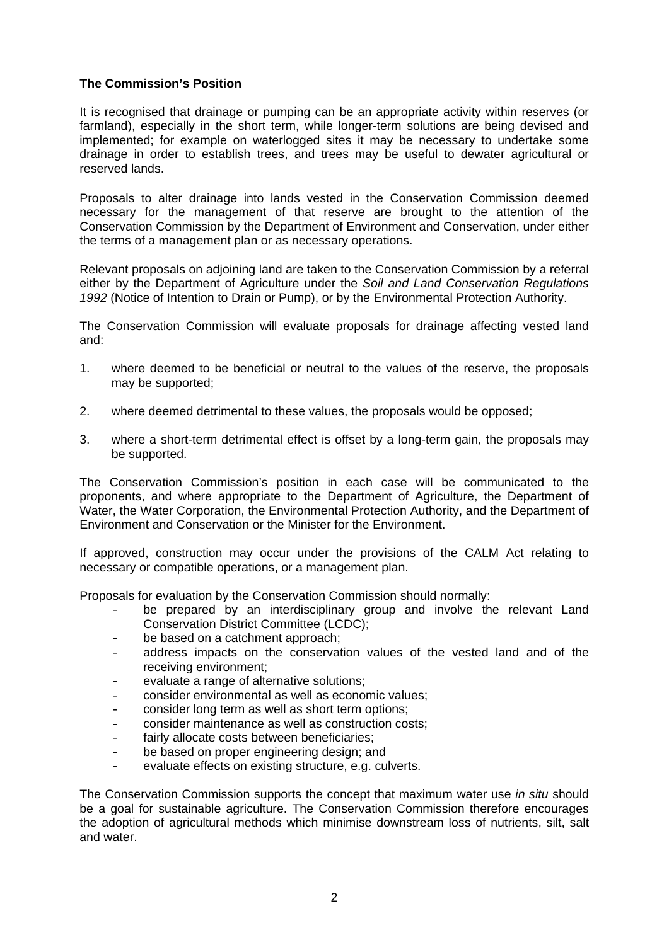# **The Commission's Position**

It is recognised that drainage or pumping can be an appropriate activity within reserves (or farmland), especially in the short term, while longer-term solutions are being devised and implemented; for example on waterlogged sites it may be necessary to undertake some drainage in order to establish trees, and trees may be useful to dewater agricultural or reserved lands.

Proposals to alter drainage into lands vested in the Conservation Commission deemed necessary for the management of that reserve are brought to the attention of the Conservation Commission by the Department of Environment and Conservation, under either the terms of a management plan or as necessary operations.

Relevant proposals on adjoining land are taken to the Conservation Commission by a referral either by the Department of Agriculture under the *Soil and Land Conservation Regulations 1992* (Notice of Intention to Drain or Pump), or by the Environmental Protection Authority.

The Conservation Commission will evaluate proposals for drainage affecting vested land and:

- 1. where deemed to be beneficial or neutral to the values of the reserve, the proposals may be supported;
- 2. where deemed detrimental to these values, the proposals would be opposed;
- 3. where a short-term detrimental effect is offset by a long-term gain, the proposals may be supported.

The Conservation Commission's position in each case will be communicated to the proponents, and where appropriate to the Department of Agriculture, the Department of Water, the Water Corporation, the Environmental Protection Authority, and the Department of Environment and Conservation or the Minister for the Environment.

If approved, construction may occur under the provisions of the CALM Act relating to necessary or compatible operations, or a management plan.

Proposals for evaluation by the Conservation Commission should normally:

- be prepared by an interdisciplinary group and involve the relevant Land Conservation District Committee (LCDC);
- be based on a catchment approach;
- address impacts on the conservation values of the vested land and of the receiving environment;
- evaluate a range of alternative solutions;
- consider environmental as well as economic values;
- consider long term as well as short term options;
- consider maintenance as well as construction costs;
- fairly allocate costs between beneficiaries:
- be based on proper engineering design; and
- evaluate effects on existing structure, e.g. culverts.

The Conservation Commission supports the concept that maximum water use *in situ* should be a goal for sustainable agriculture. The Conservation Commission therefore encourages the adoption of agricultural methods which minimise downstream loss of nutrients, silt, salt and water.